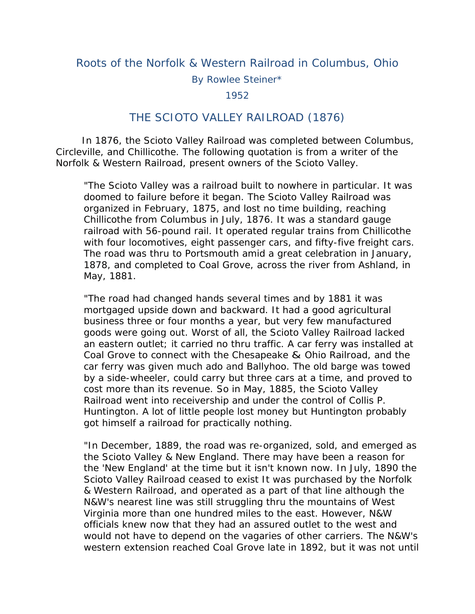## Roots of the Norfolk & Western Railroad in Columbus, Ohio

By Rowlee Steiner\*

1952

## THE SCIOTO VALLEY RAILROAD (1876)

 In 1876, the Scioto Valley Railroad was completed between Columbus, Circleville, and Chillicothe. The following quotation is from a writer of the Norfolk & Western Railroad, present owners of the Scioto Valley.

"The Scioto Valley was a railroad built to nowhere in particular. It was doomed to failure before it began. The Scioto Valley Railroad was organized in February, 1875, and lost no time building, reaching Chillicothe from Columbus in July, 1876. It was a standard gauge railroad with 56-pound rail. It operated regular trains from Chillicothe with four locomotives, eight passenger cars, and fifty-five freight cars. The road was thru to Portsmouth amid a great celebration in January, 1878, and completed to Coal Grove, across the river from Ashland, in May, 1881.

"The road had changed hands several times and by 1881 it was mortgaged upside down and backward. It had a good agricultural business three or four months a year, but very few manufactured goods were going out. Worst of all, the Scioto Valley Railroad lacked an eastern outlet; it carried no thru traffic. A car ferry was installed at Coal Grove to connect with the Chesapeake & Ohio Railroad, and the car ferry was given much ado and Ballyhoo. The old barge was towed by a side-wheeler, could carry but three cars at a time, and proved to cost more than its revenue. So in May, 1885, the Scioto Valley Railroad went into receivership and under the control of Collis P. Huntington. A lot of little people lost money but Huntington probably got himself a railroad for practically nothing.

"In December, 1889, the road was re-organized, sold, and emerged as the Scioto Valley & New England. There may have been a reason for the 'New England' at the time but it isn't known now. In July, 1890 the Scioto Valley Railroad ceased to exist It was purchased by the Norfolk & Western Railroad, and operated as a part of that line although the N&W's nearest line was still struggling thru the mountains of West Virginia more than one hundred miles to the east. However, N&W officials knew now that they had an assured outlet to the west and would not have to depend on the vagaries of other carriers. The N&W's western extension reached Coal Grove late in 1892, but it was not until